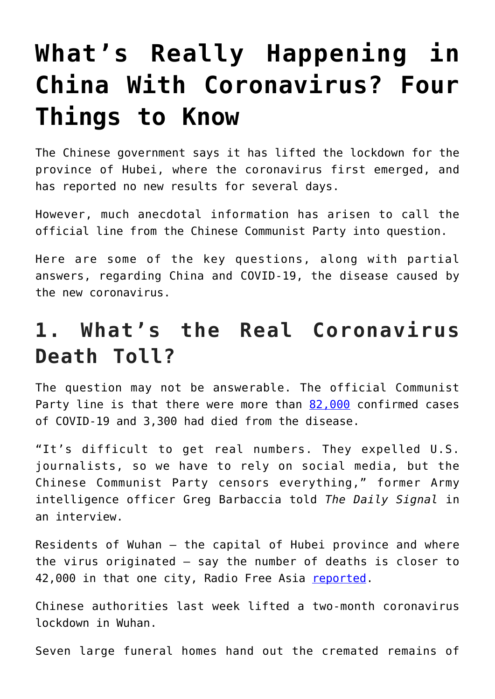# **[What's Really Happening in](https://intellectualtakeout.org/2020/04/whats-really-happening-in-china-with-coronavirus-four-things-to-know/) [China With Coronavirus? Four](https://intellectualtakeout.org/2020/04/whats-really-happening-in-china-with-coronavirus-four-things-to-know/) [Things to Know](https://intellectualtakeout.org/2020/04/whats-really-happening-in-china-with-coronavirus-four-things-to-know/)**

The Chinese government says it has lifted the lockdown for the province of Hubei, where the coronavirus first emerged, and has reported no new results for several days.

However, much anecdotal information has arisen to call the official line from the Chinese Communist Party into question.

Here are some of the key questions, along with partial answers, regarding China and COVID-19, the disease caused by the new coronavirus.

### **1. What's the Real Coronavirus Death Toll?**

The question may not be answerable. The official Communist Party line is that there were more than [82,000](https://coronavirus.jhu.edu/map.html) confirmed cases of COVID-19 and 3,300 had died from the disease.

"It's difficult to get real numbers. They expelled U.S. journalists, so we have to rely on social media, but the Chinese Communist Party censors everything," former Army intelligence officer Greg Barbaccia told *The Daily Signal* in an interview.

Residents of Wuhan – the capital of Hubei province and where the virus originated – say the number of deaths is closer to 42,000 in that one city, Radio Free Asia [reported.](https://www.rfa.org/english/news/china/wuhan-deaths-03272020182846.html)

Chinese authorities last week lifted a two-month coronavirus lockdown in Wuhan.

Seven large funeral homes hand out the cremated remains of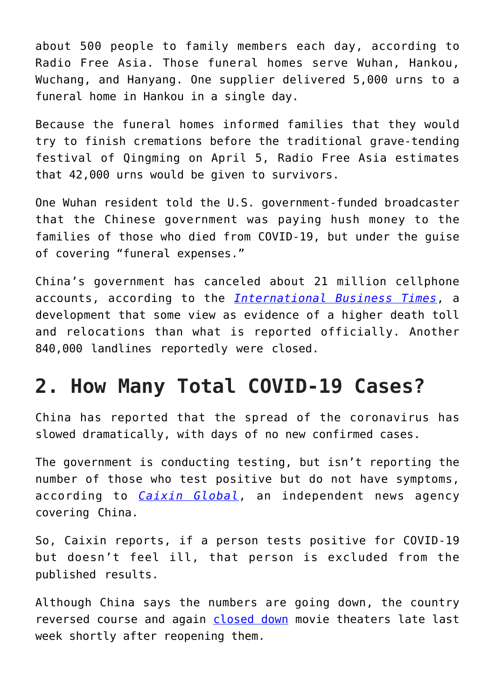about 500 people to family members each day, according to Radio Free Asia. Those funeral homes serve Wuhan, Hankou, Wuchang, and Hanyang. One supplier delivered 5,000 urns to a funeral home in Hankou in a single day.

Because the funeral homes informed families that they would try to finish cremations before the traditional grave-tending festival of Qingming on April 5, Radio Free Asia estimates that 42,000 urns would be given to survivors.

One Wuhan resident told the U.S. government-funded broadcaster that the Chinese government was paying hush money to the families of those who died from COVID-19, but under the guise of covering "funeral expenses."

China's government has canceled about 21 million cellphone accounts, according to the *[International Business Times](https://www.ibtimes.sg/china-hiding-covid-19-death-toll-21-million-cell-phones-disappeared-why-41580)*, a development that some view as evidence of a higher death toll and relocations than what is reported officially. Another 840,000 landlines reportedly were closed.

#### **2. How Many Total COVID-19 Cases?**

China has reported that the spread of the coronavirus has slowed dramatically, with days of no new confirmed cases.

The government is conducting testing, but isn't reporting the number of those who test positive but do not have symptoms, according to *[Caixin Global](https://www.caixinglobal.com/2020-03-23/despite-official-figures-wuhan-continues-to-find-new-asymptomatic-covid-19-cases-daily-101532880.html)*, an independent news agency covering China.

So, Caixin reports, if a person tests positive for COVID-19 but doesn't feel ill, that person is excluded from the published results.

Although China says the numbers are going down, the country reversed course and again [closed down](https://www.vanityfair.com/hollywood/2020/03/china-closed-movie-theaters-coronavirus) movie theaters late last week shortly after reopening them.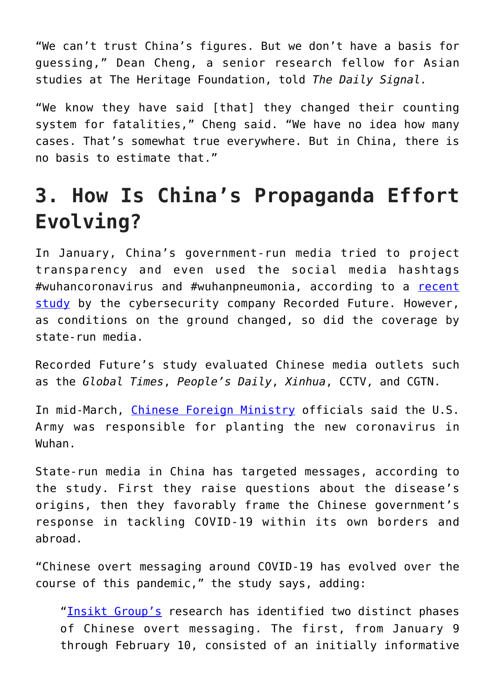"We can't trust China's figures. But we don't have a basis for guessing," Dean Cheng, a senior research fellow for Asian studies at The Heritage Foundation, told *The Daily Signal.*

"We know they have said [that] they changed their counting system for fatalities," Cheng said. "We have no idea how many cases. That's somewhat true everywhere. But in China, there is no basis to estimate that."

## **3. How Is China's Propaganda Effort Evolving?**

In January, China's government-run media tried to project transparency and even used the social media hashtags #wuhancoronavirus and #wuhanpneumonia, according to a [recent](https://www.recordedfuture.com/covid-19-chinese-media-influence/) [study](https://www.recordedfuture.com/covid-19-chinese-media-influence/) by the cybersecurity company Recorded Future. However, as conditions on the ground changed, so did the coverage by state-run media.

Recorded Future's study evaluated Chinese media outlets such as the *Global Times*, *People's Daily*, *Xinhua*, CCTV, and CGTN.

In mid-March, [Chinese Foreign Ministry](https://www.dailysignal.com/2020/03/13/immoral-and-irresponsible-china-blames-us-military-for-coronavirus/) officials said the U.S. Army was responsible for planting the new coronavirus in Wuhan.

State-run media in China has targeted messages, according to the study. First they raise questions about the disease's origins, then they favorably frame the Chinese government's response in tackling COVID-19 within its own borders and abroad.

"Chinese overt messaging around COVID-19 has evolved over the course of this pandemic," the study says, adding:

"[Insikt Group's](https://www.recordedfuture.com/podcast-episode-6/) research has identified two distinct phases of Chinese overt messaging. The first, from January 9 through February 10, consisted of an initially informative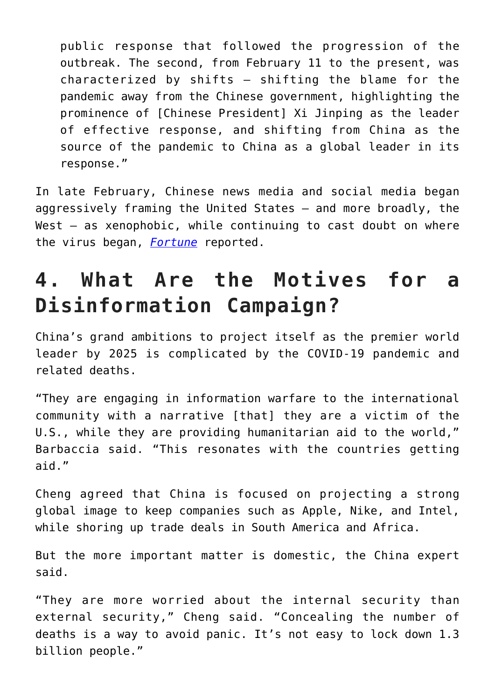public response that followed the progression of the outbreak. The second, from February 11 to the present, was characterized by shifts – shifting the blame for the pandemic away from the Chinese government, highlighting the prominence of [Chinese President] Xi Jinping as the leader of effective response, and shifting from China as the source of the pandemic to China as a global leader in its response."

In late February, Chinese news media and social media began aggressively framing the United States – and more broadly, the West – as xenophobic, while continuing to cast doubt on where the virus began, *[Fortune](https://fortune.com/2020/03/30/china-coronavirus-propaganda-has-shifted-dramatically/)* reported.

## **4. What Are the Motives for a Disinformation Campaign?**

China's grand ambitions to project itself as the premier world leader by 2025 is complicated by the COVID-19 pandemic and related deaths.

"They are engaging in information warfare to the international community with a narrative [that] they are a victim of the U.S., while they are providing humanitarian aid to the world," Barbaccia said. "This resonates with the countries getting aid."

Cheng agreed that China is focused on projecting a strong global image to keep companies such as Apple, Nike, and Intel, while shoring up trade deals in South America and Africa.

But the more important matter is domestic, the China expert said.

"They are more worried about the internal security than external security," Cheng said. "Concealing the number of deaths is a way to avoid panic. It's not easy to lock down 1.3 billion people."